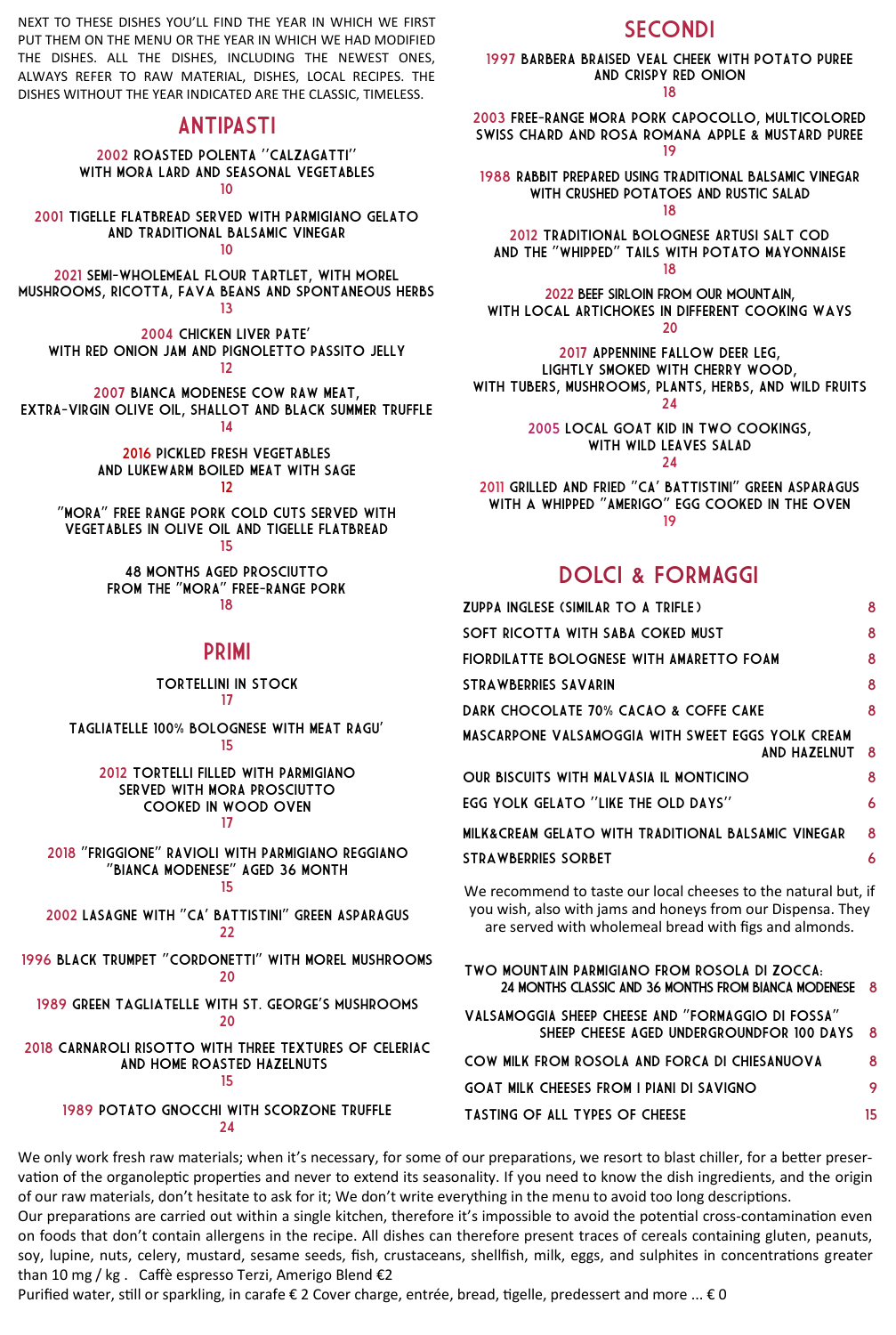NEXT TO THESE DISHES YOU'LL FIND THE YEAR IN WHICH WE FIRST PUT THEM ON THE MENU OR THE YEAR IN WHICH WE HAD MODIFIED THE DISHES. ALL THE DISHES, INCLUDING THE NEWEST ONES, ALWAYS REFER TO RAW MATERIAL, DISHES, LOCAL RECIPES. THE DISHES WITHOUT THE YEAR INDICATED ARE THE CLASSIC, TIMELESS.

### ANTIPASTI

2002 ROASTED POLENTA ''CALZAGATTI'' WITH MORA LARD AND SEASONAL VEGETABLES 10

2001 TIGELLE FLATBREAD SERVED WITH PARMIGIANO GELATO AND TRADITIONAL BALSAMIC VINEGAR

10

2021 SEMI-wholemeal flour tartlet, with morel mushrooms, RICOTTA, fava beans AND SPONTANEOUS HERBS 13

2004 CHICKEN LIVER PATE' WITH RED ONION JAM AND PIGNOLETTO PASSITO JELLY 12

2007 BIANCA MODENESE COW RAW MEAT, EXTRA-VIRGIN OLIVE OIL, SHALLOT AND BLACK SUMMER TRUFFLE 14

> 2016 PICKLED FRESH VEGETABLES AND LUKEWARM BOILED MEAT WITH SAGE 12

"MORA" FREE RANGE PORK COLD CUTS SERVED WITH VEGETABLES IN OLIVE OIL AND TIGELLE FLATBREAD 15

> 48 MONTHS AGED PROSCIUTTO FROM THE "MORA" FREE-RANGE PORK 18

### PRIMI

TORTELLINI IN STOCK 17

TAGLIATELLE 100% BOLOGNESE WITH MEAT RAGU' 15

2012 TORTELLI FILLED WITH PARMIGIANO SERVED WITH MORA PROSCIUTTO COOKED IN WOOD OVEN 17

2018 "FRIGGIONE" RAVIOLI WITH PARMIGIANO REGGIANO "BIANCA MODENESE" AGED 36 MONTH

## 15

2002 LASAGNE WITH "CA' BATTISTINI" GREEN ASPARAGUS 22

1996 BLACK TRUMPET "CORDONETTI" WITH MOREL MUSHROOMS 20

1989 green tagliatelle with st. george's mushrooms 20

2018 CARNAROLI RISOTTO WITH THREE TEXTURES OF CELERIAC AND HOME ROASTED HAZELNUTS 15

> 1989 POTATO GNOCCHI WITH scorzone TRUFFLE 24

# **SECONDI**

1997 BARBERA BRAISED VEAL CHEEK WITH POTATO PUREE AND CRISPY RED ONION

18

2003 FREE-RANGE MORA PORK CAPOCOLLO, multicolored swiss chard and rosa romana apple & MUSTARD PUREE 19

1988 RABBIT PREPARED USING TRADITIONAL BALSAMIC VINEGAR WITH CRUSHED POTATOES AND RUSTIC SALAD

18

2012 TRADITIONAL BOLOGNESE ARTUSI SALT COD AND THE "WHIPPED" TAILS WITH POTATO MAYONNAISE 18

2022 BEEF SIRLOIN from OUR mountain, WITH local ARTICHOKES IN DIFFERENT COOKING ways 20

2017 APPENNINE FALLOW DEER LEG, LIGHTLY SMOKED WITH CHERRY WOOD,

WITH TUBERS, MUSHROOMS, PLANTS, HERBS, AND WILD FRUITS 24

> 2005 LOCAL GOAT KID IN TWO COOKINGS, WITH WILD LEAVES SALAD

> > 24

2011 GRILLED AND FRIED "CA' BATTISTINI" GREEN ASPARAGUS WITH a WHIPPED "AMERIGO" EGG COOKED IN THE OVEN 19

# DOLCI & FORMAGGI

| ZUPPA INGLESE (SIMILAR TO A TRIFLE)                                                                                                                                                                                                                                                                 | 8   |
|-----------------------------------------------------------------------------------------------------------------------------------------------------------------------------------------------------------------------------------------------------------------------------------------------------|-----|
| SOFT RICOTTA WITH SABA COKED MUST                                                                                                                                                                                                                                                                   | 8   |
| FIORDILATTE BOLOGNESE WITH AMARETTO FOAM                                                                                                                                                                                                                                                            | 8   |
| STRAWBERRIES SAVARIN                                                                                                                                                                                                                                                                                | 8   |
| DARK CHOCOLATE 70% CACAO & COFFE CAKE                                                                                                                                                                                                                                                               | 8   |
| MASCARPONE VALSAMOGGIA WITH SWEET EGGS YOLK CREAM<br>AND HAZELNUT                                                                                                                                                                                                                                   | - 8 |
| OUR BISCUITS WITH MALVASIA IL MONTICINO                                                                                                                                                                                                                                                             | 8   |
| EGG YOLK GELATO "LIKE THE OLD DAYS"                                                                                                                                                                                                                                                                 | 6   |
| MILK&CREAM GELATO WITH TRADITIONAL BALSAMIC VINEGAR                                                                                                                                                                                                                                                 | 8   |
| <b>STRAWBERRIES SORBET</b>                                                                                                                                                                                                                                                                          | 6   |
| We recommend to taste our local cheeses to the natural but, if<br>$\mathbf{r}$ , and the contract of the contract of the contract of the contract of the contract of the contract of the contract of the contract of the contract of the contract of the contract of the contract of the contract o |     |

you wish, also with jams and honeys from our Dispensa. They are served with wholemeal bread with figs and almonds.

TWO MOUNTAIN PARMIGIANO FROM ROSOLA DI ZOCCA: 24 MONTHS CLASSIC AND 36 MONTHS FROM BIANCA MODENESE VALSAMOGGIA SHEEP CHEESE AND "FORMAGGIO DI FOSSA" SHEEP CHEESE AGED UNDERGROUNDFOR 100 DAYS 8 COW MILK FROM ROSOLA AND FORCA DI CHIESANUOVA 8 GOAT MILK CHEESES FROM I PIANI DI SAVIGNO 9 TASTING OF ALL TYPES OF CHEESE 15

We only work fresh raw materials; when it's necessary, for some of our preparations, we resort to blast chiller, for a better preservation of the organoleptic properties and never to extend its seasonality. If you need to know the dish ingredients, and the origin of our raw materials, don't hesitate to ask for it; We don't write everything in the menu to avoid too long descriptions.

Our preparations are carried out within a single kitchen, therefore it's impossible to avoid the potential cross-contamination even on foods that don't contain allergens in the recipe. All dishes can therefore present traces of cereals containing gluten, peanuts, soy, lupine, nuts, celery, mustard, sesame seeds, fish, crustaceans, shellfish, milk, eggs, and sulphites in concentrations greater than 10 mg / kg . Caffè espresso Terzi, Amerigo Blend €2

Purified water, still or sparkling, in carafe € 2 Cover charge, entrée, bread, tigelle, predessert and more ... € 0